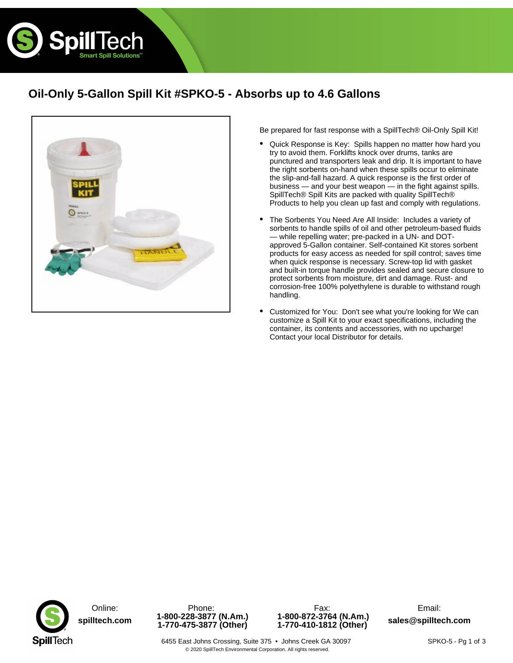

# **Oil-Only 5-Gallon Spill Kit #SPKO-5 - Absorbs up to 4.6 Gallons**



Be prepared for fast response with a SpillTech® Oil-Only Spill Kit!

- Quick Response is Key: Spills happen no matter how hard you try to avoid them. Forklifts knock over drums, tanks are punctured and transporters leak and drip. It is important to have the right sorbents on-hand when these spills occur to eliminate the slip-and-fall hazard. A quick response is the first order of business — and your best weapon — in the fight against spills. SpillTech® Spill Kits are packed with quality SpillTech® Products to help you clean up fast and comply with regulations. •
- The Sorbents You Need Are All Inside: Includes a variety of sorbents to handle spills of oil and other petroleum-based fluids — while repelling water; pre-packed in a UN- and DOTapproved 5-Gallon container. Self-contained Kit stores sorbent products for easy access as needed for spill control; saves time when quick response is necessary. Screw-top lid with gasket and built-in torque handle provides sealed and secure closure to protect sorbents from moisture, dirt and damage. Rust- and corrosion-free 100% polyethylene is durable to withstand rough handling. •
- Customized for You: Don't see what you're looking for We can customize a Spill Kit to your exact specifications, including the container, its contents and accessories, with no upcharge! Contact your local Distributor for details. •





**1-800-872-3764 (N.Am.) 1-770-410-1812 (Other) sales@spilltech.com**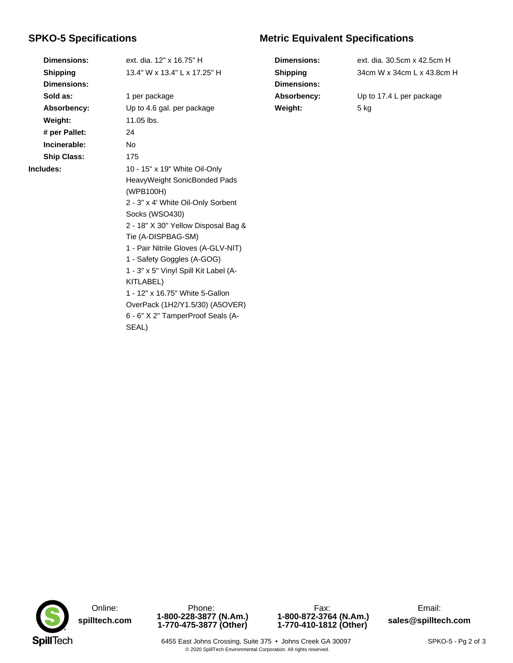### **SPKO-5 Specifications**

**Shipping Dimensions: Sold as:** 1 per package **Weight:** 11.05 lbs. **# per Pallet:** 24 **Incinerable:** No **Ship Class:** 175

**Dimensions:** ext. dia. 12" x 16.75" H 13.4" W x 13.4" L x 17.25" H **Absorbency:** Up to 4.6 gal. per package **Includes:** 10 - 15" x 19" White Oil-Only HeavyWeight SonicBonded Pads (WPB100H) 2 - 3" x 4' White Oil-Only Sorbent Socks (WSO430) 2 - 18" X 30" Yellow Disposal Bag & Tie (A-DISPBAG-SM) 1 - Pair Nitrile Gloves (A-GLV-NIT) 1 - Safety Goggles (A-GOG) 1 - 3" x 5" Vinyl Spill Kit Label (A-KITLABEL) 1 - 12" x 16.75" White 5-Gallon OverPack (1H2/Y1.5/30) (A5OVER) 6 - 6" X 2" TamperProof Seals (A-SEAL)

## **Metric Equivalent Specifications**

| <b>Dimensions:</b> | ext. dia, 30.5cm x 42.5cm H |
|--------------------|-----------------------------|
| <b>Shipping</b>    | 34cm W x 34cm L x 43.8cm H  |
| <b>Dimensions:</b> |                             |
| Absorbency:        | Up to 17.4 L per package    |
| Weight:            | 5 kg                        |